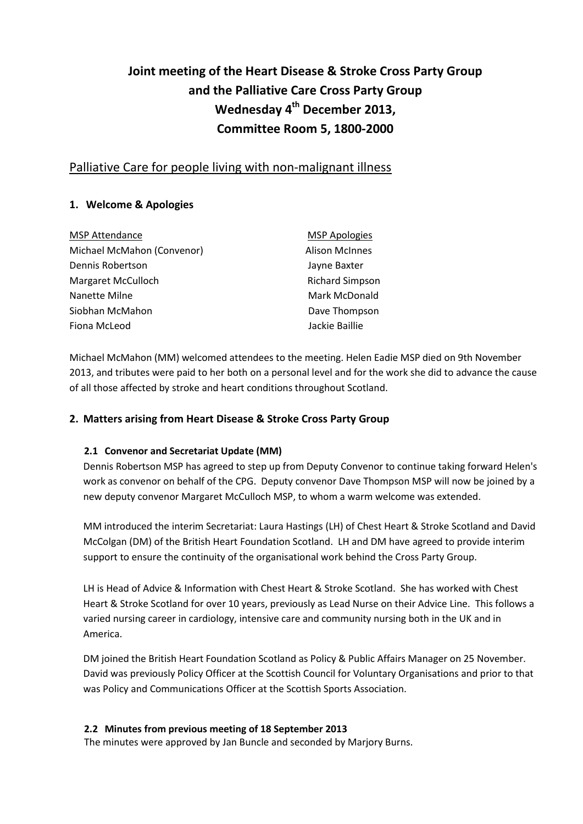# **Joint meeting of the Heart Disease & Stroke Cross Party Group and the Palliative Care Cross Party Group Wednesday 4 th December 2013, Committee Room 5, 1800-2000**

# Palliative Care for people living with non-malignant illness

# **1. Welcome & Apologies**

| <b>MSP Attendance</b>      | <b>MSP Apologies</b>   |
|----------------------------|------------------------|
| Michael McMahon (Convenor) | <b>Alison McInnes</b>  |
| Dennis Robertson           | Jayne Baxter           |
| Margaret McCulloch         | <b>Richard Simpson</b> |
| Nanette Milne              | Mark McDonald          |
| Siobhan McMahon            | Dave Thompson          |
| Fiona McLeod               | Jackie Baillie         |

Michael McMahon (MM) welcomed attendees to the meeting. Helen Eadie MSP died on 9th November 2013, and tributes were paid to her both on a personal level and for the work she did to advance the cause of all those affected by stroke and heart conditions throughout Scotland.

# **2. Matters arising from Heart Disease & Stroke Cross Party Group**

#### **2.1 Convenor and Secretariat Update (MM)**

Dennis Robertson MSP has agreed to step up from Deputy Convenor to continue taking forward Helen's work as convenor on behalf of the CPG. Deputy convenor Dave Thompson MSP will now be joined by a new deputy convenor Margaret McCulloch MSP, to whom a warm welcome was extended.

MM introduced the interim Secretariat: Laura Hastings (LH) of Chest Heart & Stroke Scotland and David McColgan (DM) of the British Heart Foundation Scotland. LH and DM have agreed to provide interim support to ensure the continuity of the organisational work behind the Cross Party Group.

LH is Head of Advice & Information with Chest Heart & Stroke Scotland. She has worked with Chest Heart & Stroke Scotland for over 10 years, previously as Lead Nurse on their Advice Line. This follows a varied nursing career in cardiology, intensive care and community nursing both in the UK and in America.

DM joined the British Heart Foundation Scotland as Policy & Public Affairs Manager on 25 November. David was previously Policy Officer at the Scottish Council for Voluntary Organisations and prior to that was Policy and Communications Officer at the Scottish Sports Association.

#### **2.2 Minutes from previous meeting of 18 September 2013**

The minutes were approved by Jan Buncle and seconded by Marjory Burns.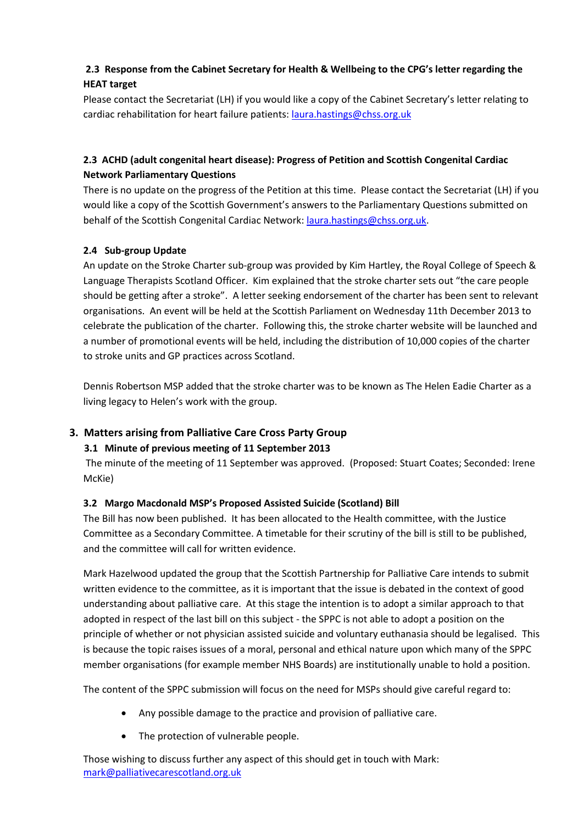# **2.3 Response from the Cabinet Secretary for Health & Wellbeing to the CPG's letter regarding the HEAT target**

Please contact the Secretariat (LH) if you would like a copy of the Cabinet Secretary's letter relating to cardiac rehabilitation for heart failure patients[: laura.hastings@chss.org.uk](mailto:laura.hastings@chss.org.uk)

# **2.3 ACHD (adult congenital heart disease): Progress of Petition and Scottish Congenital Cardiac Network Parliamentary Questions**

There is no update on the progress of the Petition at this time. Please contact the Secretariat (LH) if you would like a copy of the Scottish Government's answers to the Parliamentary Questions submitted on behalf of the Scottish Congenital Cardiac Network: [laura.hastings@chss.org.uk.](mailto:laura.hastings@chss.org.uk)

# **2.4 Sub-group Update**

An update on the Stroke Charter sub-group was provided by Kim Hartley, the Royal College of Speech & Language Therapists Scotland Officer. Kim explained that the stroke charter sets out "the care people should be getting after a stroke". A letter seeking endorsement of the charter has been sent to relevant organisations. An event will be held at the Scottish Parliament on Wednesday 11th December 2013 to celebrate the publication of the charter. Following this, the stroke charter website will be launched and a number of promotional events will be held, including the distribution of 10,000 copies of the charter to stroke units and GP practices across Scotland.

Dennis Robertson MSP added that the stroke charter was to be known as The Helen Eadie Charter as a living legacy to Helen's work with the group.

# **3. Matters arising from Palliative Care Cross Party Group**

# **3.1 Minute of previous meeting of 11 September 2013**

The minute of the meeting of 11 September was approved. (Proposed: Stuart Coates; Seconded: Irene McKie)

#### **3.2 Margo Macdonald MSP's Proposed Assisted Suicide (Scotland) Bill**

The Bill has now been published. It has been allocated to the Health committee, with the Justice Committee as a Secondary Committee. A timetable for their scrutiny of the bill is still to be published, and the committee will call for written evidence.

Mark Hazelwood updated the group that the Scottish Partnership for Palliative Care intends to submit written evidence to the committee, as it is important that the issue is debated in the context of good understanding about palliative care. At this stage the intention is to adopt a similar approach to that adopted in respect of the last bill on this subject - the SPPC is not able to adopt a position on the principle of whether or not physician assisted suicide and voluntary euthanasia should be legalised. This is because the topic raises issues of a moral, personal and ethical nature upon which many of the SPPC member organisations (for example member NHS Boards) are institutionally unable to hold a position.

The content of the SPPC submission will focus on the need for MSPs should give careful regard to:

- Any possible damage to the practice and provision of palliative care.
- The protection of vulnerable people.

Those wishing to discuss further any aspect of this should get in touch with Mark: [mark@palliativecarescotland.org.uk](mailto:mark@palliativecarescotland.org.uk)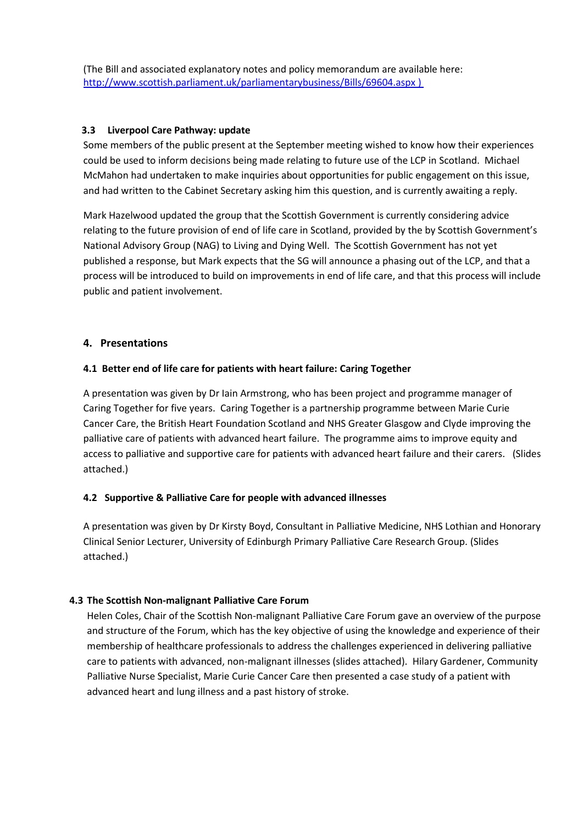(The Bill and associated explanatory notes and policy memorandum are available here: <http://www.scottish.parliament.uk/parliamentarybusiness/Bills/69604.aspx> )

#### **3.3 Liverpool Care Pathway: update**

Some members of the public present at the September meeting wished to know how their experiences could be used to inform decisions being made relating to future use of the LCP in Scotland. Michael McMahon had undertaken to make inquiries about opportunities for public engagement on this issue, and had written to the Cabinet Secretary asking him this question, and is currently awaiting a reply.

Mark Hazelwood updated the group that the Scottish Government is currently considering advice relating to the future provision of end of life care in Scotland, provided by the by Scottish Government's National Advisory Group (NAG) to Living and Dying Well. The Scottish Government has not yet published a response, but Mark expects that the SG will announce a phasing out of the LCP, and that a process will be introduced to build on improvements in end of life care, and that this process will include public and patient involvement.

#### **4. Presentations**

#### **4.1 Better end of life care for patients with heart failure: Caring Together**

A presentation was given by Dr Iain Armstrong, who has been project and programme manager of Caring Together for five years. Caring Together is a partnership programme between Marie Curie Cancer Care, the British Heart Foundation Scotland and NHS Greater Glasgow and Clyde improving the palliative care of patients with advanced heart failure. The programme aims to improve equity and access to palliative and supportive care for patients with advanced heart failure and their carers. (Slides attached.)

#### **4.2 Supportive & Palliative Care for people with advanced illnesses**

A presentation was given by Dr Kirsty Boyd, Consultant in Palliative Medicine, NHS Lothian and Honorary Clinical Senior Lecturer, University of Edinburgh [Primary Palliative Care Research Group.](http://www.cphs.mvm.ed.ac.uk/groups/ppcrg/) (Slides attached.)

#### **4.3 The Scottish Non-malignant Palliative Care Forum**

Helen Coles, Chair of the Scottish Non-malignant Palliative Care Forum gave an overview of the purpose and structure of the Forum, which has the key objective of using the knowledge and experience of their membership of healthcare professionals to address the challenges experienced in delivering palliative care to patients with advanced, non-malignant illnesses (slides attached). Hilary Gardener, Community Palliative Nurse Specialist, Marie Curie Cancer Care then presented a case study of a patient with advanced heart and lung illness and a past history of stroke.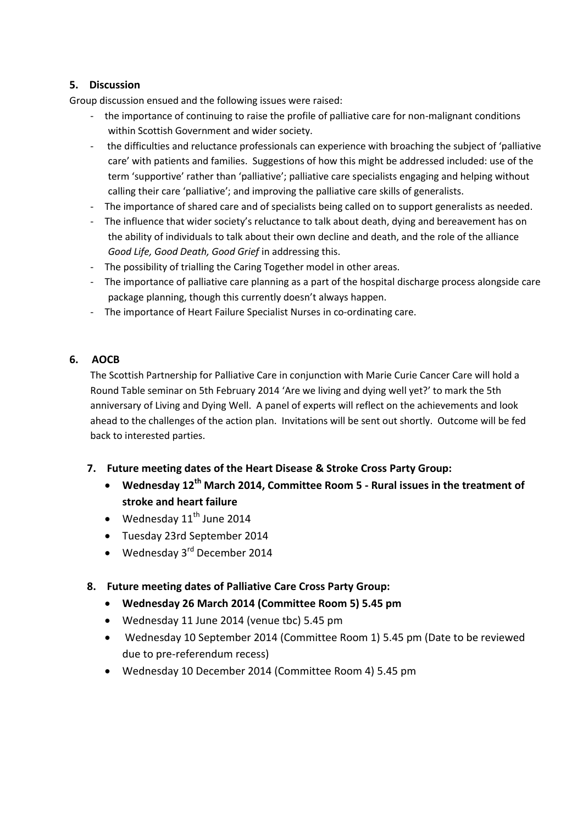# **5. Discussion**

Group discussion ensued and the following issues were raised:

- the importance of continuing to raise the profile of palliative care for non-malignant conditions within Scottish Government and wider society.
- the difficulties and reluctance professionals can experience with broaching the subject of 'palliative care' with patients and families. Suggestions of how this might be addressed included: use of the term 'supportive' rather than 'palliative'; palliative care specialists engaging and helping without calling their care 'palliative'; and improving the palliative care skills of generalists.
- The importance of shared care and of specialists being called on to support generalists as needed.
- The influence that wider society's reluctance to talk about death, dying and bereavement has on the ability of individuals to talk about their own decline and death, and the role of the alliance *Good Life, Good Death, Good Grief* in addressing this.
- The possibility of trialling the Caring Together model in other areas.
- The importance of palliative care planning as a part of the hospital discharge process alongside care package planning, though this currently doesn't always happen.
- The importance of Heart Failure Specialist Nurses in co-ordinating care.

# **6. AOCB**

The Scottish Partnership for Palliative Care in conjunction with Marie Curie Cancer Care will hold a Round Table seminar on 5th February 2014 'Are we living and dying well yet?' to mark the 5th anniversary of Living and Dying Well. A panel of experts will reflect on the achievements and look ahead to the challenges of the action plan. Invitations will be sent out shortly. Outcome will be fed back to interested parties.

# **7. Future meeting dates of the Heart Disease & Stroke Cross Party Group:**

- **Wednesday 12th March 2014, Committee Room 5 - Rural issues in the treatment of stroke and heart failure**
- Wednesday  $11^{\text{th}}$  June 2014
- Tuesday 23rd September 2014
- Wednesday  $3^{rd}$  December 2014

# **8. Future meeting dates of Palliative Care Cross Party Group:**

- **Wednesday 26 March 2014 (Committee Room 5) 5.45 pm**
- Wednesday 11 June 2014 (venue tbc) 5.45 pm
- Wednesday 10 September 2014 (Committee Room 1) 5.45 pm (Date to be reviewed due to pre-referendum recess)
- Wednesday 10 December 2014 (Committee Room 4) 5.45 pm